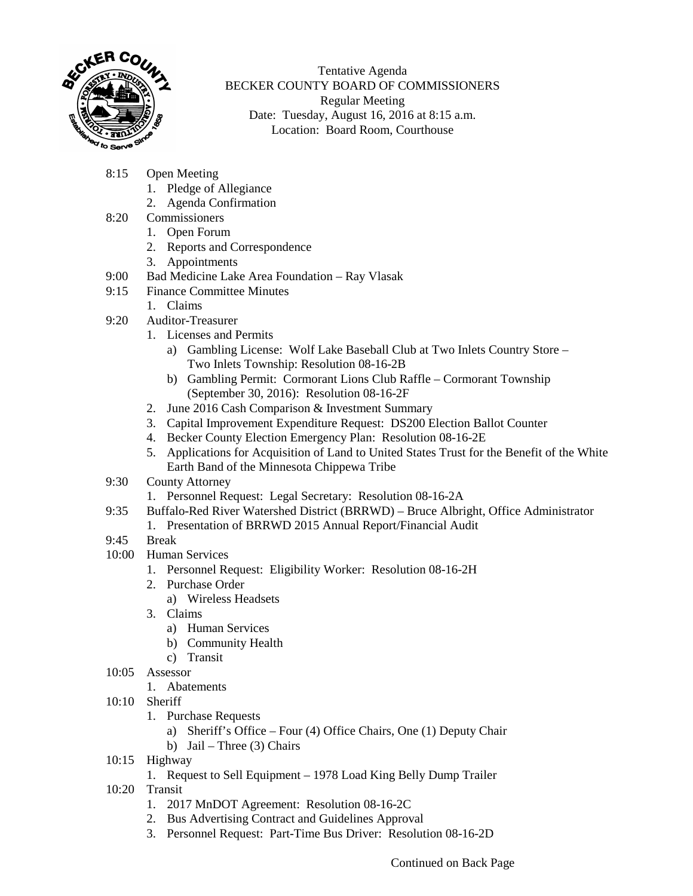

Tentative Agenda BECKER COUNTY BOARD OF COMMISSIONERS Regular Meeting Date: Tuesday, August 16, 2016 at 8:15 a.m. Location: Board Room, Courthouse

- 8:15 Open Meeting
	- 1. Pledge of Allegiance
	- 2. Agenda Confirmation
- 8:20 Commissioners
	- 1. Open Forum
	- 2. Reports and Correspondence
	- 3. Appointments
- 9:00 Bad Medicine Lake Area Foundation Ray Vlasak
- 9:15 Finance Committee Minutes
	- 1. Claims
- 9:20 Auditor-Treasurer
	- 1. Licenses and Permits
		- a) Gambling License: Wolf Lake Baseball Club at Two Inlets Country Store Two Inlets Township: Resolution 08-16-2B
		- b) Gambling Permit: Cormorant Lions Club Raffle Cormorant Township (September 30, 2016): Resolution 08-16-2F
	- 2. June 2016 Cash Comparison & Investment Summary
	- 3. Capital Improvement Expenditure Request: DS200 Election Ballot Counter
	- 4. Becker County Election Emergency Plan: Resolution 08-16-2E
	- 5. Applications for Acquisition of Land to United States Trust for the Benefit of the White Earth Band of the Minnesota Chippewa Tribe
- 9:30 County Attorney
	- 1. Personnel Request: Legal Secretary: Resolution 08-16-2A
- 9:35 Buffalo-Red River Watershed District (BRRWD) Bruce Albright, Office Administrator
	- 1. Presentation of BRRWD 2015 Annual Report/Financial Audit
- 9:45 Break
- 10:00 Human Services
	- 1. Personnel Request: Eligibility Worker: Resolution 08-16-2H
	- 2. Purchase Order
		- a) Wireless Headsets
	- 3. Claims
		- a) Human Services
		- b) Community Health
		- c) Transit
- 10:05 Assessor
	- 1. Abatements
- 10:10 Sheriff
	- 1. Purchase Requests
		- a) Sheriff's Office Four (4) Office Chairs, One (1) Deputy Chair
		- b) Jail Three (3) Chairs
- 10:15 Highway
	- 1. Request to Sell Equipment 1978 Load King Belly Dump Trailer
- 10:20 Transit
	- 1. 2017 MnDOT Agreement: Resolution 08-16-2C
	- 2. Bus Advertising Contract and Guidelines Approval
	- 3. Personnel Request: Part-Time Bus Driver: Resolution 08-16-2D